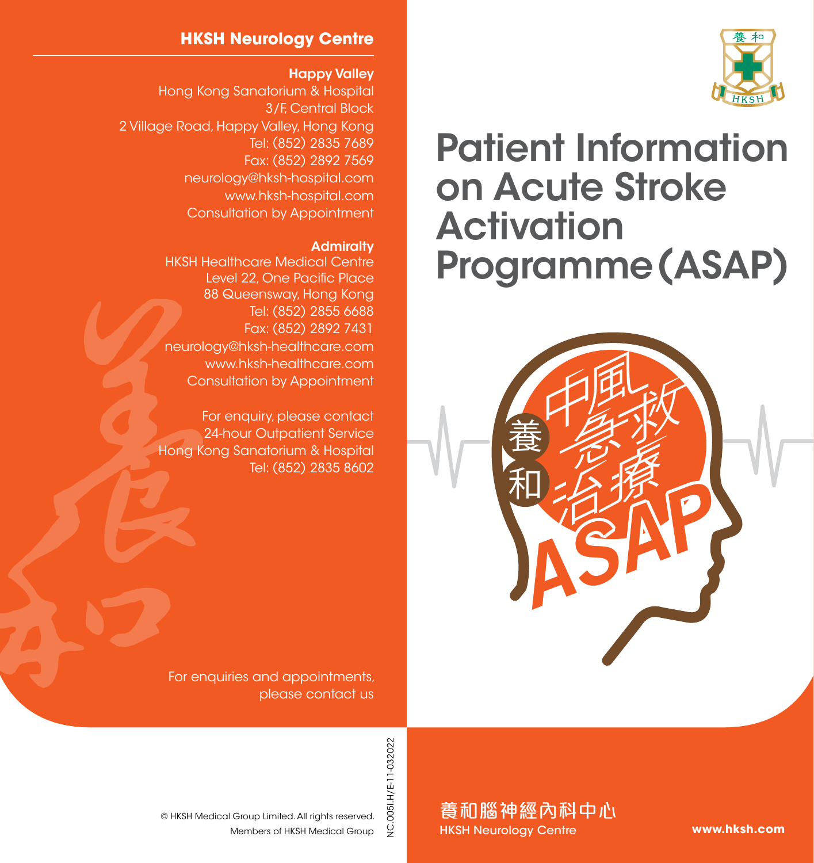#### **HKSH Neurology Centre**

#### Happy Valley

Hong Kong Sanatorium & Hospital 3/F, Central Block 2 Village Road, Happy Valley, Hong Kong Tel: (852) 2835 7689 Fax: (852) 2892 7569 neurology@hksh-hospital.com www.hksh-hospital.com Consultation by Appointment

#### **Admiralty**

HKSH Healthcare Medical Centre Level 22, One Pacific Place 88 Queensway, Hong Kong Tel: (852) 2855 6688 Fax: (852) 2892 7431 neurology@hksh-healthcare.com www.hksh-healthcare.com Consultation by Appointment

For enquiry, please contact 24-hour Outpatient Service Hong Kong Sanatorium & Hospital Tel: (852) 2835 8602

For enquiries and appointments, please contact us



養和腦神經內科中心 HKSH Neurology Centre

Members of HKSH Medical Group © HKSH Medical Group Limited. All rights reserved.



# Patient Information on Acute Stroke **Activation** Programme (ASAP)



**www.hksh.com**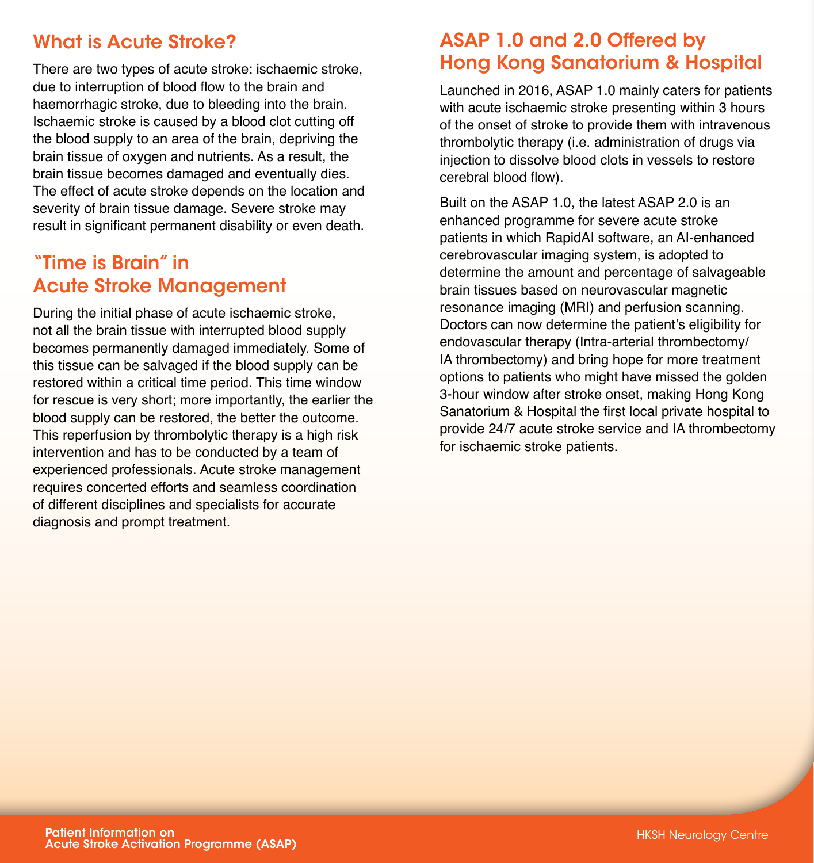## What is Acute Stroke?

There are two types of acute stroke: ischaemic stroke, due to interruption of blood flow to the brain and haemorrhagic stroke, due to bleeding into the brain. Ischaemic stroke is caused by a blood clot cutting off the blood supply to an area of the brain, depriving the brain tissue of oxygen and nutrients. As a result, the brain tissue becomes damaged and eventually dies. The effect of acute stroke depends on the location and severity of brain tissue damage. Severe stroke may result in significant permanent disability or even death.

## "Time is Brain" in Acute Stroke Management

During the initial phase of acute ischaemic stroke, not all the brain tissue with interrupted blood supply becomes permanently damaged immediately. Some of this tissue can be salvaged if the blood supply can be restored within a critical time period. This time window for rescue is very short; more importantly, the earlier the blood supply can be restored, the better the outcome. This reperfusion by thrombolytic therapy is a high risk intervention and has to be conducted by a team of experienced professionals. Acute stroke management requires concerted efforts and seamless coordination of different disciplines and specialists for accurate diagnosis and prompt treatment.

## ASAP 1.0 and 2.0 Offered by Hong Kong Sanatorium & Hospital

Launched in 2016, ASAP 1.0 mainly caters for patients with acute ischaemic stroke presenting within 3 hours of the onset of stroke to provide them with intravenous thrombolytic therapy (i.e. administration of drugs via injection to dissolve blood clots in vessels to restore cerebral blood flow).

Built on the ASAP 1.0, the latest ASAP 2.0 is an enhanced programme for severe acute stroke patients in which RapidAI software, an AI-enhanced cerebrovascular imaging system, is adopted to determine the amount and percentage of salvageable brain tissues based on neurovascular magnetic resonance imaging (MRI) and perfusion scanning. Doctors can now determine the patient's eligibility for endovascular therapy (Intra-arterial thrombectomy/ IA thrombectomy) and bring hope for more treatment options to patients who might have missed the golden 3-hour window after stroke onset, making Hong Kong Sanatorium & Hospital the first local private hospital to provide 24/7 acute stroke service and IA thrombectomy for ischaemic stroke patients.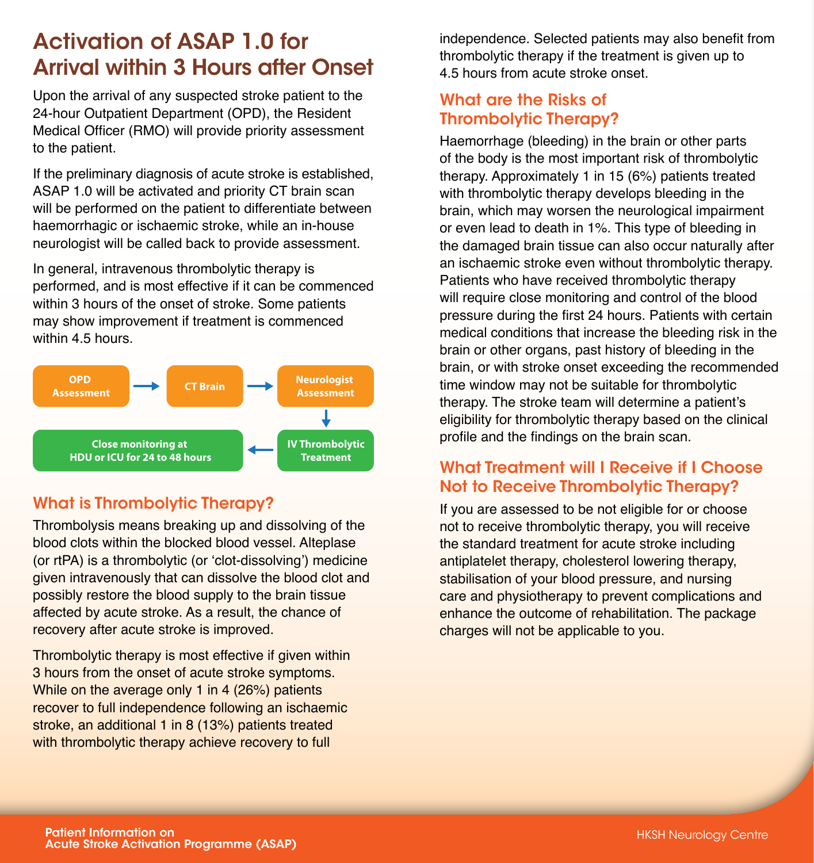## Activation of ASAP 1.0 for Arrival within 3 Hours after Onset

Upon the arrival of any suspected stroke patient to the 24-hour Outpatient Department (OPD), the Resident Medical Officer (RMO) will provide priority assessment to the patient.

If the preliminary diagnosis of acute stroke is established, ASAP 1.0 will be activated and priority CT brain scan will be performed on the patient to differentiate between haemorrhagic or ischaemic stroke, while an in-house neurologist will be called back to provide assessment.

In general, intravenous thrombolytic therapy is performed, and is most effective if it can be commenced within 3 hours of the onset of stroke. Some patients may show improvement if treatment is commenced within 4.5 hours.



## What is Thrombolytic Therapy?

Thrombolysis means breaking up and dissolving of the blood clots within the blocked blood vessel. Alteplase (or rtPA) is a thrombolytic (or 'clot-dissolving') medicine given intravenously that can dissolve the blood clot and possibly restore the blood supply to the brain tissue affected by acute stroke. As a result, the chance of recovery after acute stroke is improved.

Thrombolytic therapy is most effective if given within 3 hours from the onset of acute stroke symptoms. While on the average only 1 in 4 (26%) patients recover to full independence following an ischaemic stroke, an additional 1 in 8 (13%) patients treated with thrombolytic therapy achieve recovery to full

independence. Selected patients may also benefit from thrombolytic therapy if the treatment is given up to 4.5 hours from acute stroke onset.

#### What are the Risks of Thrombolytic Therapy?

Haemorrhage (bleeding) in the brain or other parts of the body is the most important risk of thrombolytic therapy. Approximately 1 in 15 (6%) patients treated with thrombolytic therapy develops bleeding in the brain, which may worsen the neurological impairment or even lead to death in 1%. This type of bleeding in the damaged brain tissue can also occur naturally after an ischaemic stroke even without thrombolytic therapy. Patients who have received thrombolytic therapy will require close monitoring and control of the blood pressure during the first 24 hours. Patients with certain medical conditions that increase the bleeding risk in the brain or other organs, past history of bleeding in the brain, or with stroke onset exceeding the recommended time window may not be suitable for thrombolytic therapy. The stroke team will determine a patient's eligibility for thrombolytic therapy based on the clinical profile and the findings on the brain scan.

## What Treatment will I Receive if I Choose Not to Receive Thrombolytic Therapy?

If you are assessed to be not eligible for or choose not to receive thrombolytic therapy, you will receive the standard treatment for acute stroke including antiplatelet therapy, cholesterol lowering therapy, stabilisation of your blood pressure, and nursing care and physiotherapy to prevent complications and enhance the outcome of rehabilitation. The package charges will not be applicable to you.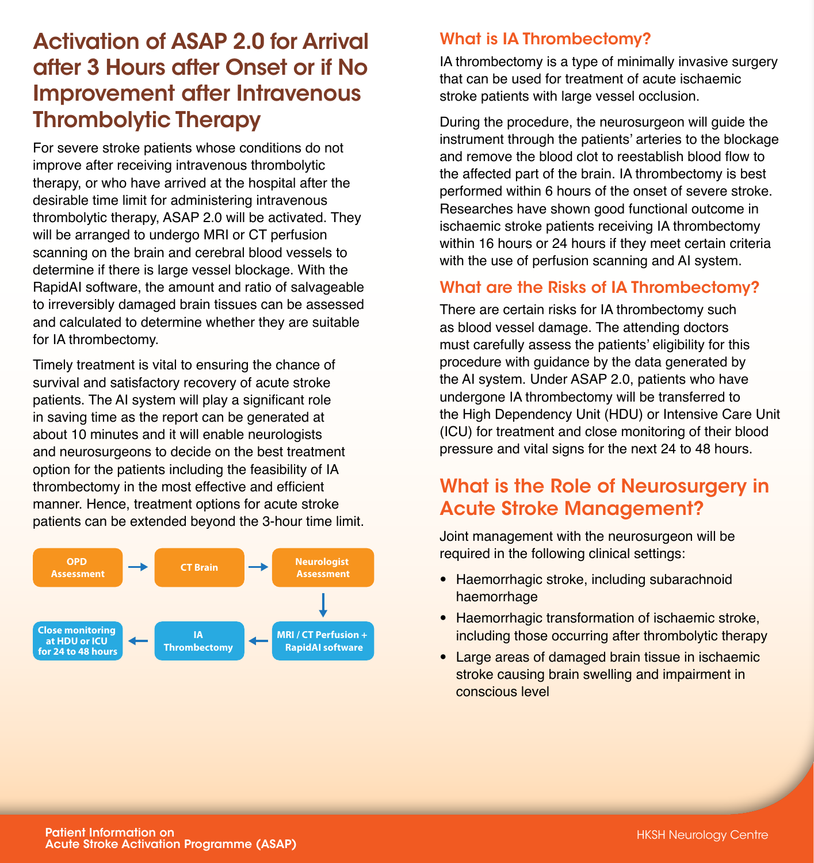## Activation of ASAP 2.0 for Arrival after 3 Hours after Onset or if No Improvement after Intravenous Thrombolytic Therapy

For severe stroke patients whose conditions do not improve after receiving intravenous thrombolytic therapy, or who have arrived at the hospital after the desirable time limit for administering intravenous thrombolytic therapy, ASAP 2.0 will be activated. They will be arranged to undergo MRI or CT perfusion scanning on the brain and cerebral blood vessels to determine if there is large vessel blockage. With the RapidAI software, the amount and ratio of salvageable to irreversibly damaged brain tissues can be assessed and calculated to determine whether they are suitable for IA thrombectomy.

Timely treatment is vital to ensuring the chance of survival and satisfactory recovery of acute stroke patients. The AI system will play a significant role in saving time as the report can be generated at about 10 minutes and it will enable neurologists and neurosurgeons to decide on the best treatment option for the patients including the feasibility of IA thrombectomy in the most effective and efficient manner. Hence, treatment options for acute stroke patients can be extended beyond the 3-hour time limit.



#### What is IA Thrombectomy?

IA thrombectomy is a type of minimally invasive surgery that can be used for treatment of acute ischaemic stroke patients with large vessel occlusion.

During the procedure, the neurosurgeon will guide the instrument through the patients' arteries to the blockage and remove the blood clot to reestablish blood flow to the affected part of the brain. IA thrombectomy is best performed within 6 hours of the onset of severe stroke. Researches have shown good functional outcome in ischaemic stroke patients receiving IA thrombectomy within 16 hours or 24 hours if they meet certain criteria with the use of perfusion scanning and AI system.

#### What are the Risks of IA Thrombectomy?

There are certain risks for IA thrombectomy such as blood vessel damage. The attending doctors must carefully assess the patients' eligibility for this procedure with guidance by the data generated by the AI system. Under ASAP 2.0, patients who have undergone IA thrombectomy will be transferred to the High Dependency Unit (HDU) or Intensive Care Unit (ICU) for treatment and close monitoring of their blood pressure and vital signs for the next 24 to 48 hours.

## What is the Role of Neurosurgery in Acute Stroke Management?

Joint management with the neurosurgeon will be required in the following clinical settings:

- Haemorrhagic stroke, including subarachnoid haemorrhage
- Haemorrhagic transformation of ischaemic stroke, including those occurring after thrombolytic therapy
- Large areas of damaged brain tissue in ischaemic stroke causing brain swelling and impairment in conscious level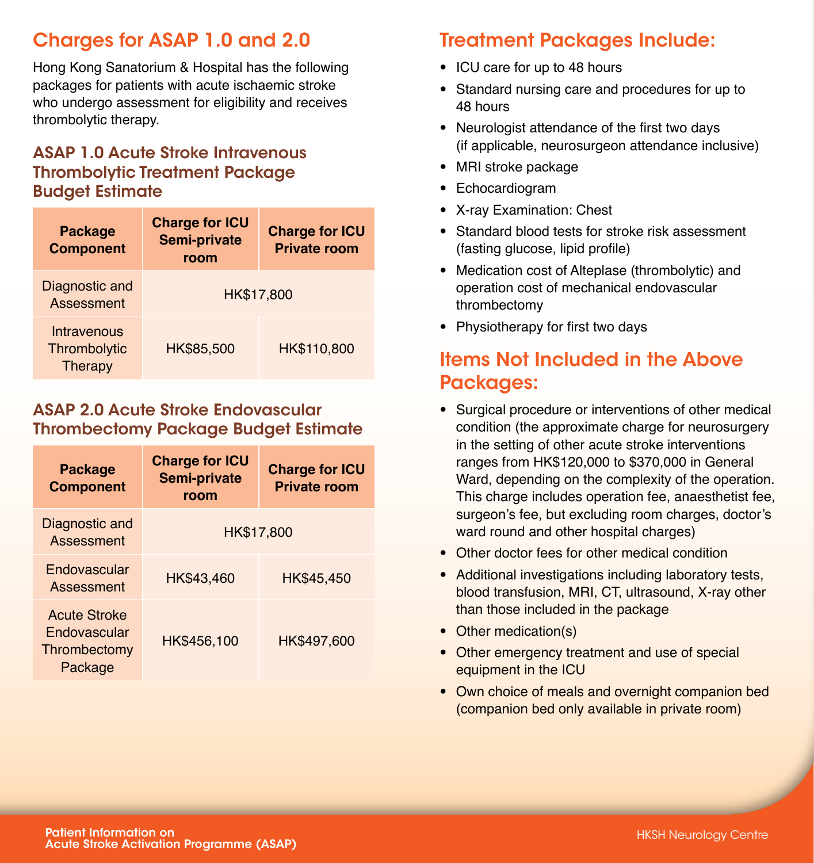## Charges for ASAP 1.0 and 2.0

Hong Kong Sanatorium & Hospital has the following packages for patients with acute ischaemic stroke who undergo assessment for eligibility and receives thrombolytic therapy.

#### ASAP 1.0 Acute Stroke Intravenous Thrombolytic Treatment Package Budget Estimate

| <b>Package</b><br><b>Component</b>     | <b>Charge for ICU</b><br>Semi-private<br>room | <b>Charge for ICU</b><br><b>Private room</b> |
|----------------------------------------|-----------------------------------------------|----------------------------------------------|
| Diagnostic and<br>Assessment           | HK\$17,800                                    |                                              |
| Intravenous<br>Thrombolytic<br>Therapy | HK\$85,500                                    | HK\$110,800                                  |

#### ASAP 2.0 Acute Stroke Endovascular Thrombectomy Package Budget Estimate

| <b>Package</b><br><b>Component</b>                                    | <b>Charge for ICU</b><br>Semi-private<br>room | <b>Charge for ICU</b><br><b>Private room</b> |
|-----------------------------------------------------------------------|-----------------------------------------------|----------------------------------------------|
| Diagnostic and<br>Assessment                                          | HK\$17,800                                    |                                              |
| <b>Endovascular</b><br>Assessment                                     | HK\$43,460                                    | HK\$45,450                                   |
| <b>Acute Stroke</b><br><b>Endovascular</b><br>Thrombectomy<br>Package | HK\$456,100                                   | HK\$497,600                                  |

# Treatment Packages Include:

- ICU care for up to 48 hours
- Standard nursing care and procedures for up to 48 hours
- Neurologist attendance of the first two days (if applicable, neurosurgeon attendance inclusive)
- MRI stroke package
- Echocardiogram
- X-ray Examination: Chest
- Standard blood tests for stroke risk assessment (fasting glucose, lipid profile)
- Medication cost of Alteplase (thrombolytic) and operation cost of mechanical endovascular thrombectomy
- Physiotherapy for first two days

## Items Not Included in the Above Packages:

- Surgical procedure or interventions of other medical condition (the approximate charge for neurosurgery in the setting of other acute stroke interventions ranges from HK\$120,000 to \$370,000 in General Ward, depending on the complexity of the operation. This charge includes operation fee, anaesthetist fee, surgeon's fee, but excluding room charges, doctor's ward round and other hospital charges)
- Other doctor fees for other medical condition
- Additional investigations including laboratory tests, blood transfusion, MRI, CT, ultrasound, X-ray other than those included in the package
- Other medication(s)
- Other emergency treatment and use of special equipment in the ICU
- Own choice of meals and overnight companion bed (companion bed only available in private room)